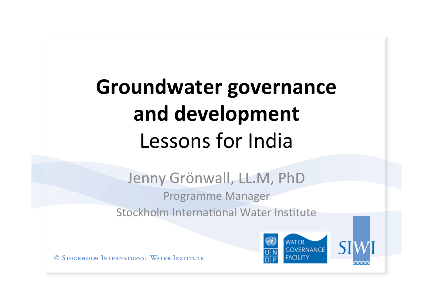# **Groundwater governance** and development Lessons for India

## Jenny Grönwall, LL.M, PhD

**Programme Manager** Stockholm International Water Institute

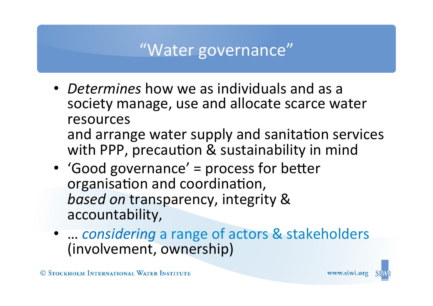## "Water governance"

- *Determines* how we as individuals and as a society manage, use and allocate scarce water resources and arrange water supply and sanitation services with PPP, precaution & sustainability in mind
- 'Good governance' = process for better organisation and coordination, **based on transparency, integrity &** accountability,
- ... *considering* a range of actors & stakeholders (involvement, ownership)



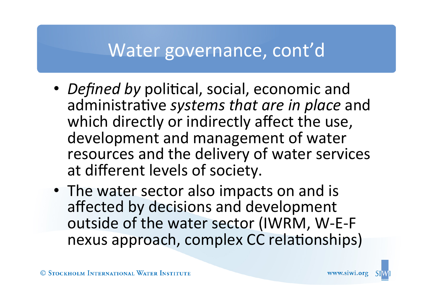## Water governance, cont'd

- *Defined by* political, social, economic and administrative *systems that are in place* and which directly or indirectly affect the use, development and management of water resources and the delivery of water services at different levels of society.
- The water sector also impacts on and is affected by decisions and development outside of the water sector (IWRM, W-E-F nexus approach, complex CC relationships)

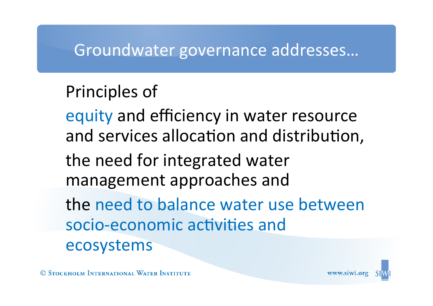#### Groundwater governance addresses...

### Principles of

equity and efficiency in water resource and services allocation and distribution,

the need for integrated water management approaches and

the need to balance water use between socio-economic activities and ecosystems



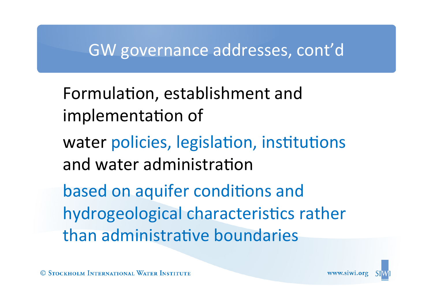#### GW governance addresses, cont'd

Formulation, establishment and implementation of

water policies, legislation, institutions and water administration

based on aquifer conditions and hydrogeological characteristics rather than administrative boundaries





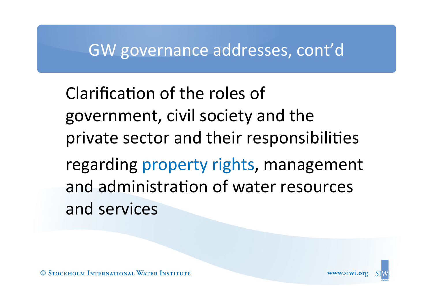#### GW governance addresses, cont'd

Clarification of the roles of government, civil society and the private sector and their responsibilities regarding property rights, management and administration of water resources and services

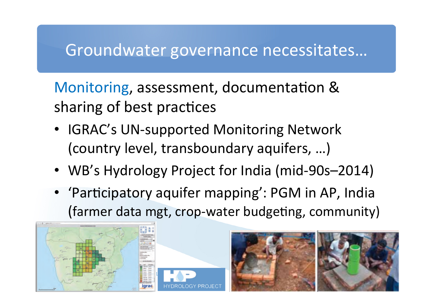#### Groundwater governance necessitates...

Monitoring, assessment, documentation & sharing of best practices

- IGRAC's UN-supported Monitoring Network (country level, transboundary aquifers, ...)
- WB's Hydrology Project for India (mid-90s–2014)
- 'Participatory aquifer mapping': PGM in AP, India (farmer data mgt, crop-water budgeting, community)



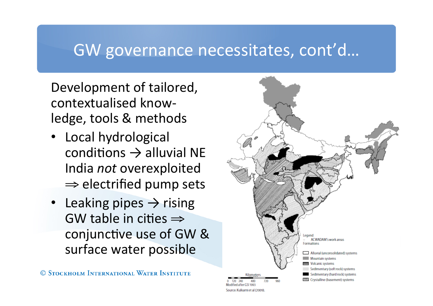#### GW governance necessitates, cont'd...

Development of tailored, contextualised knowledge, tools & methods

- Local hydrological conditions  $\rightarrow$  alluvial NE India *not* overexploited  $\Rightarrow$  electrified pump sets
- Leaking pipes  $\rightarrow$  rising GW table in cities  $\Rightarrow$ conjunctive use of GW & surface water possible

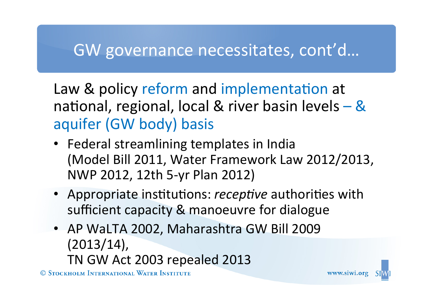### GW governance necessitates, cont'd...

Law & policy reform and implementation at national, regional, local & river basin levels  $-$  & aquifer (GW body) basis

- Federal streamlining templates in India (Model Bill 2011, Water Framework Law 2012/2013, NWP 2012, 12th 5-yr Plan 2012)
- Appropriate institutions: *receptive* authorities with sufficient capacity & manoeuvre for dialogue
- AP WaLTA 2002, Maharashtra GW Bill 2009 (2013/14), TN GW Act 2003 repealed 2013

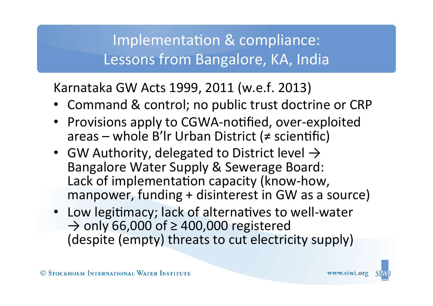#### Implementation & compliance: Lessons from Bangalore, KA, India

Karnataka GW Acts 1999, 2011 (w.e.f. 2013)

- Command & control; no public trust doctrine or CRP
- Provisions apply to CGWA-notified, over-exploited areas – whole B'lr Urban District ( $\neq$  scientific)
- GW Authority, delegated to District level  $\rightarrow$ Bangalore Water Supply & Sewerage Board: Lack of implementation capacity (know-how, manpower, funding + disinterest in GW as a source)
- Low legitimacy; lack of alternatives to well-water  $\rightarrow$  only 66,000 of  $\geq$  400,000 registered (despite (empty) threats to cut electricity supply)

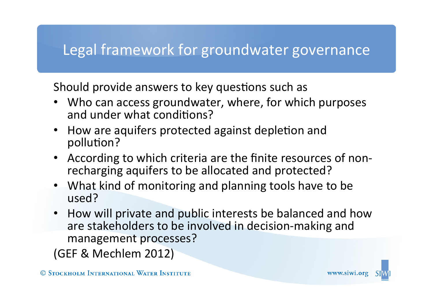#### Legal framework for groundwater governance

Should provide answers to key questions such as

- Who can access groundwater, where, for which purposes and under what conditions?
- How are aquifers protected against depletion and pollution?
- According to which criteria are the finite resources of nonrecharging aquifers to be allocated and protected?
- What kind of monitoring and planning tools have to be used?
- How will private and public interests be balanced and how are stakeholders to be involved in decision-making and management processes?

(GEF & Mechlem 2012)